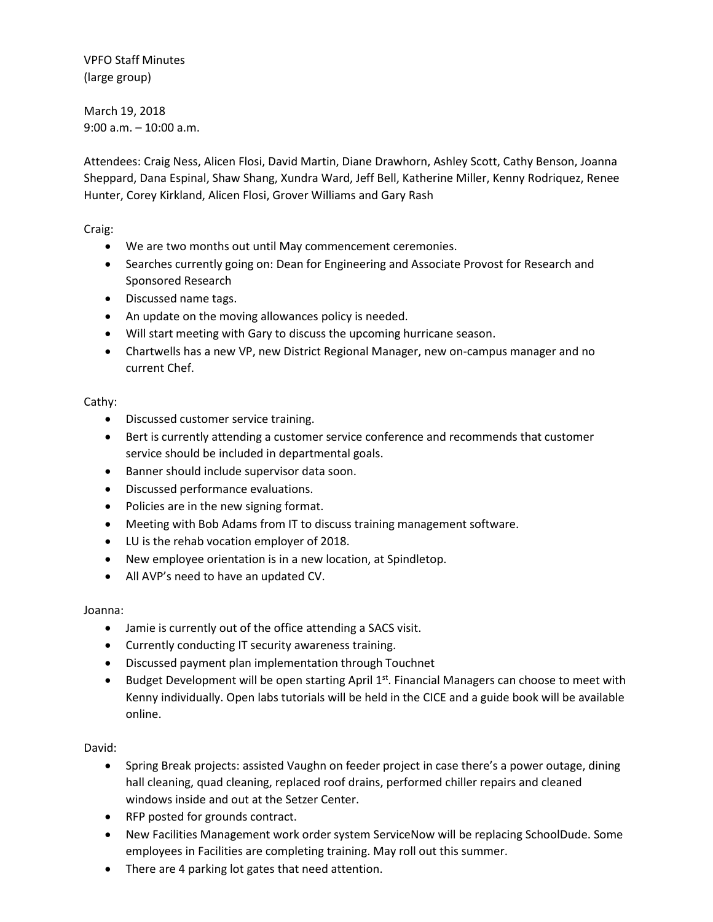VPFO Staff Minutes (large group)

March 19, 2018 9:00 a.m. – 10:00 a.m.

Attendees: Craig Ness, Alicen Flosi, David Martin, Diane Drawhorn, Ashley Scott, Cathy Benson, Joanna Sheppard, Dana Espinal, Shaw Shang, Xundra Ward, Jeff Bell, Katherine Miller, Kenny Rodriquez, Renee Hunter, Corey Kirkland, Alicen Flosi, Grover Williams and Gary Rash

Craig:

- We are two months out until May commencement ceremonies.
- Searches currently going on: Dean for Engineering and Associate Provost for Research and Sponsored Research
- Discussed name tags.
- An update on the moving allowances policy is needed.
- Will start meeting with Gary to discuss the upcoming hurricane season.
- Chartwells has a new VP, new District Regional Manager, new on-campus manager and no current Chef.

## Cathy:

- Discussed customer service training.
- Bert is currently attending a customer service conference and recommends that customer service should be included in departmental goals.
- Banner should include supervisor data soon.
- Discussed performance evaluations.
- Policies are in the new signing format.
- Meeting with Bob Adams from IT to discuss training management software.
- LU is the rehab vocation employer of 2018.
- New employee orientation is in a new location, at Spindletop.
- All AVP's need to have an updated CV.

Joanna:

- Jamie is currently out of the office attending a SACS visit.
- Currently conducting IT security awareness training.
- Discussed payment plan implementation through Touchnet
- **•** Budget Development will be open starting April  $1^{st}$ . Financial Managers can choose to meet with Kenny individually. Open labs tutorials will be held in the CICE and a guide book will be available online.

David:

- Spring Break projects: assisted Vaughn on feeder project in case there's a power outage, dining hall cleaning, quad cleaning, replaced roof drains, performed chiller repairs and cleaned windows inside and out at the Setzer Center.
- RFP posted for grounds contract.
- New Facilities Management work order system ServiceNow will be replacing SchoolDude. Some employees in Facilities are completing training. May roll out this summer.
- There are 4 parking lot gates that need attention.